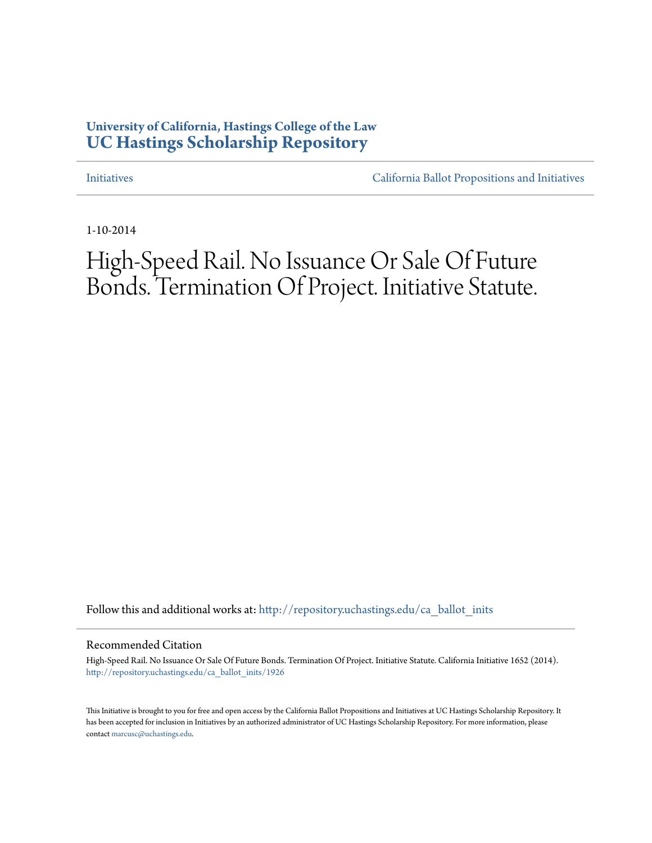## **University of California, Hastings College of the Law [UC Hastings Scholarship Repository](http://repository.uchastings.edu?utm_source=repository.uchastings.edu%2Fca_ballot_inits%2F1926&utm_medium=PDF&utm_campaign=PDFCoverPages)**

[Initiatives](http://repository.uchastings.edu/ca_ballot_inits?utm_source=repository.uchastings.edu%2Fca_ballot_inits%2F1926&utm_medium=PDF&utm_campaign=PDFCoverPages) [California Ballot Propositions and Initiatives](http://repository.uchastings.edu/ca_ballots?utm_source=repository.uchastings.edu%2Fca_ballot_inits%2F1926&utm_medium=PDF&utm_campaign=PDFCoverPages)

1-10-2014

# High-Speed Rail. No Issuance Or Sale Of Future Bonds. Termination Of Project. Initiative Statute.

Follow this and additional works at: [http://repository.uchastings.edu/ca\\_ballot\\_inits](http://repository.uchastings.edu/ca_ballot_inits?utm_source=repository.uchastings.edu%2Fca_ballot_inits%2F1926&utm_medium=PDF&utm_campaign=PDFCoverPages)

#### Recommended Citation

High-Speed Rail. No Issuance Or Sale Of Future Bonds. Termination Of Project. Initiative Statute. California Initiative 1652 (2014). [http://repository.uchastings.edu/ca\\_ballot\\_inits/1926](http://repository.uchastings.edu/ca_ballot_inits/1926?utm_source=repository.uchastings.edu%2Fca_ballot_inits%2F1926&utm_medium=PDF&utm_campaign=PDFCoverPages)

This Initiative is brought to you for free and open access by the California Ballot Propositions and Initiatives at UC Hastings Scholarship Repository. It has been accepted for inclusion in Initiatives by an authorized administrator of UC Hastings Scholarship Repository. For more information, please contact [marcusc@uchastings.edu](mailto:marcusc@uchastings.edu).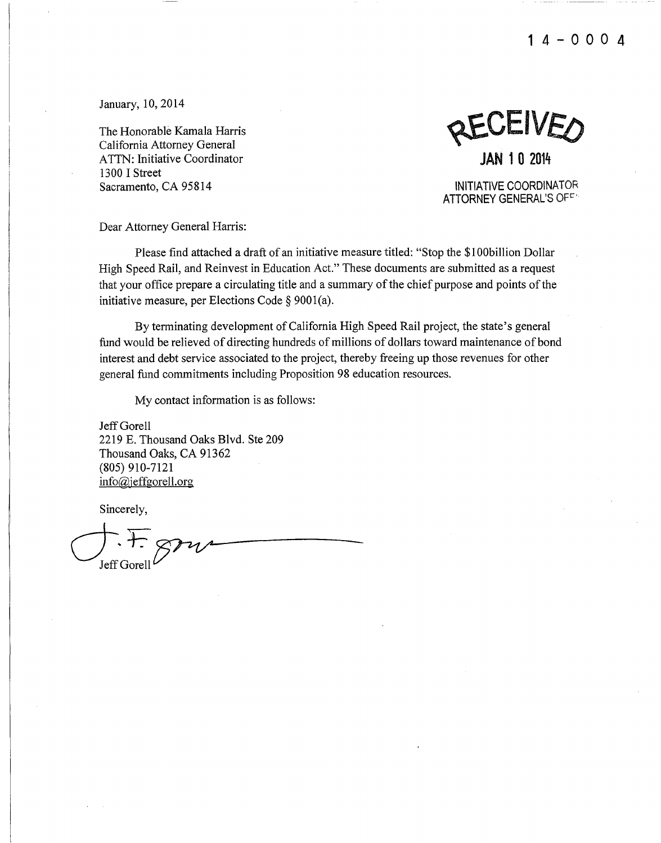**14-000 4** 

January, 10,2014

The Honorable Kamala Harris California Attorney General ATTN: Initiative Coordinator 1300 I Street Sacramento, CA 95814

 $\epsilon$ IV $\epsilon$ **JAN 1 0** <sup>2014</sup>

INITIATIVE COORDINATOR ATTORNEY GENERAL'S OFF

Dear Attorney General Harris:

Please find attached a draft of an initiative measure titled: "Stop the \$1 OObillion Dollar High Speed Rail, and Reinvest in Education Act." These documents are submitted as a request that your office prepare a circulating title and a summary of the chief purpose and points of the initiative measure, per Elections Code§ 9001(a).

By terminating development of California High Speed Rail project, the state's general fund would be relieved of directing hundreds of millions of dollars toward maintenance of bond interest and debt service associated to the project, thereby freeing up those revenues for other general fund commitments including Proposition 98 education resources.

My contact information is as follows:

Jeff Gorell 2219 E. Thousand Oaks Blvd. Ste 209 Thousand Oaks, CA 91362 (805) 910-7121 info@jeffgorell.org

Sincerely,

 $\overline{C}$ . F.  $\overline{p}$ Jeff Gorel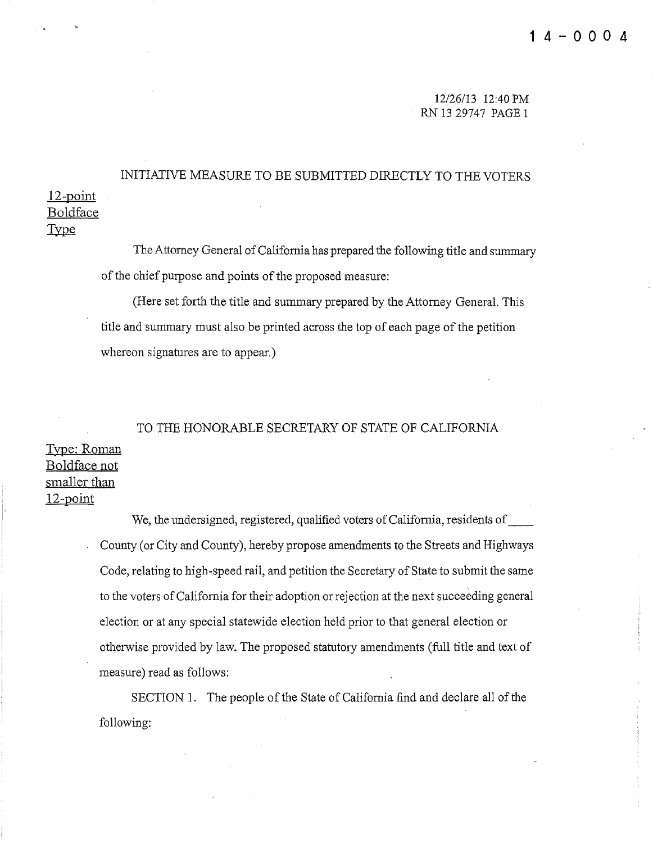## 12-point Boldface INITIATIVE MEASURE TO BE SUBMITTED DIRECTLY TO THE VOTERS

Type

The Attorney General of California has prepared the following title and summary of the chief purpose and points of the proposed measure:

(Here set forth the title and summary prepared by the Attorney General. This title and summary must also be printed across the top of each page of the petition whereon signatures are to appear.)

TO THE HONORABLE SECRETARY OF STATE OF CALIFORNIA Type: Roman Boldface not smaller than 12-point

> We, the undersigned, registered, qualified voters of California, residents of\_~ \_ County (or City and County), hereby propose amendments to the Streets and Highways Code, relating to high-speed rail, and petition the Secretary of State to submit the same to the voters of California for their adoption or rejection at the next succeeding general election or at any special statewide election held prior to that general election or otherwise provided by law. The proposed statutory amendments (full title and text of measure) read as follows:

SECTION 1. The people of the State of California find and declare all of the following: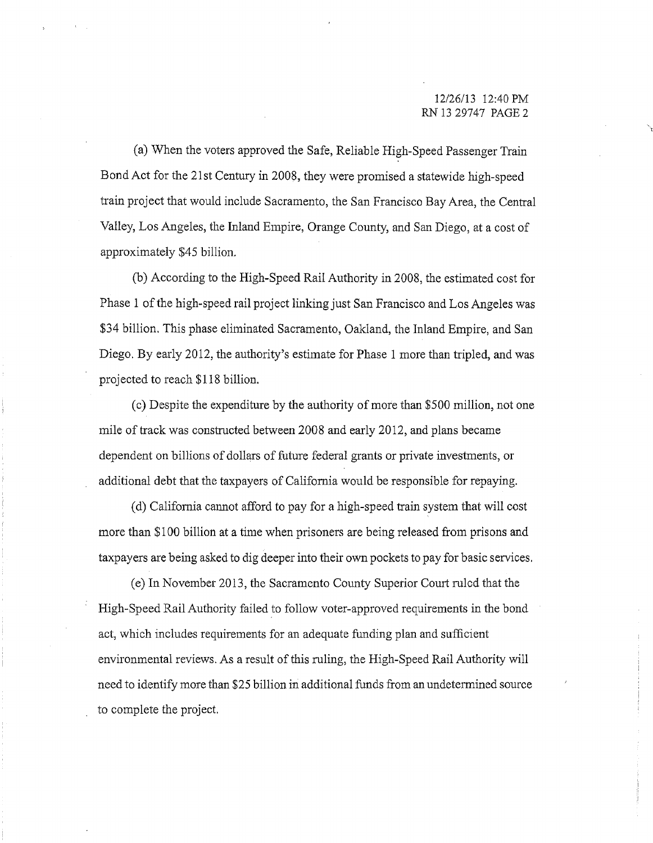(a) When the voters approved the Safe, Reliable High-Speed Passenger Train Bond Act for the 21st Century in 2008, they were promised a statewide high-speed train project that would include Sacramento, the San Francisco Bay Area, the Central Valley, Los Angeles, the Inland Empire, Orange County, and San Diego, at a cost of approximately \$45 billion.

(b) According to the High-Speed Rail Authority in 2008, the estimated cost for Phase 1 of the high-speed rail project linking just San Francisco and Los Angeles was \$34 billion. This phase eliminated Sacramento, Oakland, the Inland Empire, and San Diego. By early 2012, the authority's estimate for Phase 1 more than tripled, and was projected to reach \$118 billion.

(c) Despite the expenditure by the authority of more than \$500 million, not one mile of track was constructed between 2008 and early 2012, and plans became dependent on billions of dollars of future federal grants or private investments, or additional debt that the taxpayers of California would be responsible for repaying.

(d) California cmmot afford to pay for a high-speed train system that will cost more than \$100 billion at a time when prisoners are being released from prisons and taxpayers are being asked to dig deeper into their own pockets to pay for basic services.

(e) In November 2013, the Sacramento County Superior Court ruled that the High-Speed Rail Authority failed to follow voter-approved requirements in the bond act, which includes requirements for an adequate funding plan and sufficient environmental reviews. As a result of this ruling, the High-Speed Rail Authority will need to identify more than \$25 billion iri additional funds from an undetermined source to complete the project.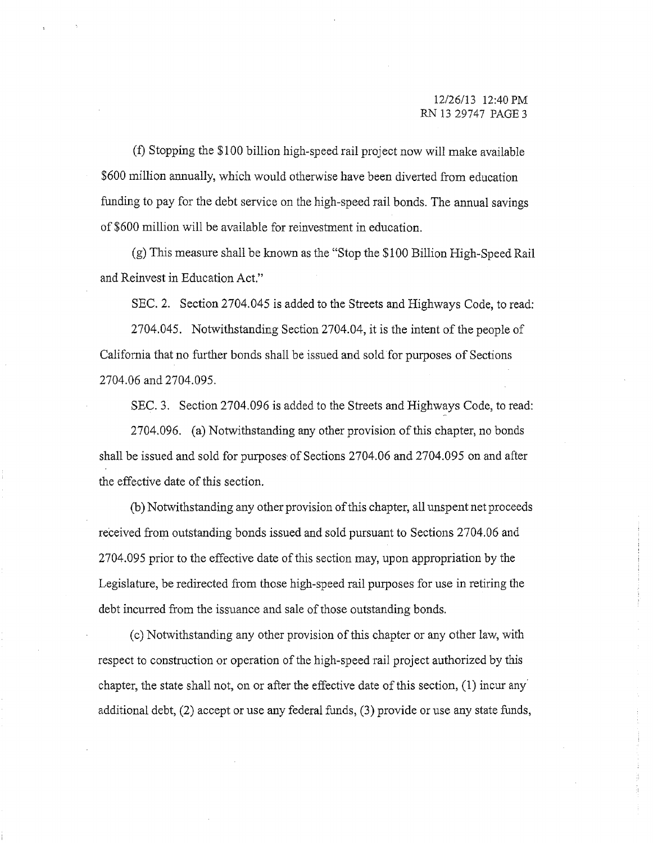(f) Stopping the \$100 billion high-speed rail project now will make available \$600 million annually, which would otherwise have been diverted from education funding to pay for the debt service on the high-speed rail bonds. The annual savings of \$600 million will be available for reinvestment in education.

(g) This measure shall be known as the "Stop the \$100 Billion High-Speed Rail and Reinvest in Education Act."

SEC. 2. Section 2704.045 is added to the Streets and Highways Code, to read:

2704.045. Notwithstanding Section 2704.04, it is the intent of the people of California that no further bonds shall be issued and sold for purposes of Sections 2704.06 and 2704.095.

SEC. 3. Section 2704.096 is added to the Streets and Highways Code, to read:

2704.096. (a) Notwithstanding any other provision of this chapter, no bonds shall be issued and sold for purposes, of Sections 2704.06 and 2704.095 on and after the effective date of this section.

(b) Notwithstanding any other provision of this chapter, all unspent net proceeds received from outstanding bonds issued and sold pursuant to Sections 2704.06 and 2704.095 prior to the effective date ofthis section may, upon appropriation by the Legislature, be redirected from those high-speed rail purposes for use in retiring the debt incurred from the issuance and sale of those outstanding bonds.

(c) Notwithstanding any other provision ofthis chapter or any other law, with respect to construction or operation of the high-speed rail project authorized by this chapter, the state shall not, on or after the effective date of this section, (1) incur any' additional debt, (2) accept or use any federal funds, (3) provide or use any state funds,